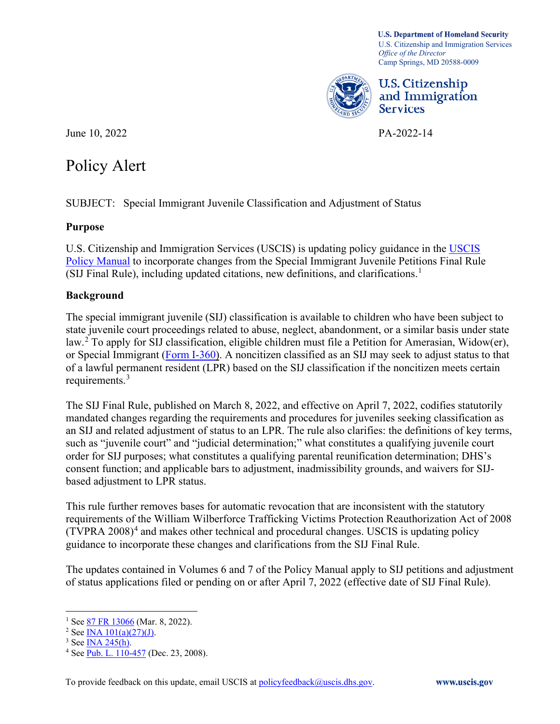*Office of the Director*  Camp Springs, MD 20588-0009 **U.S. Department of Homeland Security**  U.S. Citizenship and Immigration Services



U.S. Citizenship and Immigration Services

June 10, 2022 PA-2022-14

# **Policy Alert**

Policy Alert<br>SUBJECT: Special Immigrant Juvenile Classification and Adjustment of Status

## **Purpose**

U.S. Citizenship and Immigration Services (USCIS) is updating policy guidance in the USCIS [Policy Manual](https://www.uscis.gov/policy-manual) to incorporate changes from the Special Immigrant Juvenile Petitions Final Rule (SIJ Final Rule), including updated citations, new definitions, and clarifications.<sup>[1](#page-0-0)</sup>

## **Background**

The special immigrant juvenile (SIJ) classification is available to children who have been subject to state juvenile court proceedings related to abuse, neglect, abandonment, or a similar basis under state law.[2](#page-0-1) To apply for SIJ classification, eligible children must file a Petition for Amerasian, Widow(er), or Special Immigrant [\(Form I-360\)](https://www.uscis.gov/i-360). A noncitizen classified as an SIJ may seek to adjust status to that of a lawful permanent resident (LPR) based on the SIJ classification if the noncitizen meets certain requirements.[3](#page-0-2)

 such as "juvenile court" and "judicial determination;" what constitutes a qualifying juvenile court based adjustment to LPR status. The SIJ Final Rule, published on March 8, 2022, and effective on April 7, 2022, codifies statutorily mandated changes regarding the requirements and procedures for juveniles seeking classification as an SIJ and related adjustment of status to an LPR. The rule also clarifies: the definitions of key terms, order for SIJ purposes; what constitutes a qualifying parental reunification determination; DHS's consent function; and applicable bars to adjustment, inadmissibility grounds, and waivers for SIJ-

 This rule further removes bases for automatic revocation that are inconsistent with the statutory  $(TVPRA 2008)^4$  and makes other technical and procedural changes. USCIS is updating policy requirements of the William Wilberforce Trafficking Victims Protection Reauthorization Act of 2008 guidance to incorporate these changes and clarifications from the SIJ Final Rule.

The updates contained in Volumes 6 and 7 of the Policy Manual apply to SIJ petitions and adjustment of status applications filed or pending on or after April 7, 2022 (effective date of SIJ Final Rule).

<span id="page-0-2"></span><span id="page-0-1"></span>

<span id="page-0-3"></span>

<span id="page-0-0"></span><sup>&</sup>lt;sup>1</sup> See <u>87 FR 13066</u> (Mar. 8, 2022).<br><sup>2</sup> See <u>INA 101(a)(27)(J)</u>.<br><sup>3</sup> See <u>INA 245(h)</u>.<br><sup>4</sup> See <u>Pub. L. 110-457</u> (Dec. 23, 2008).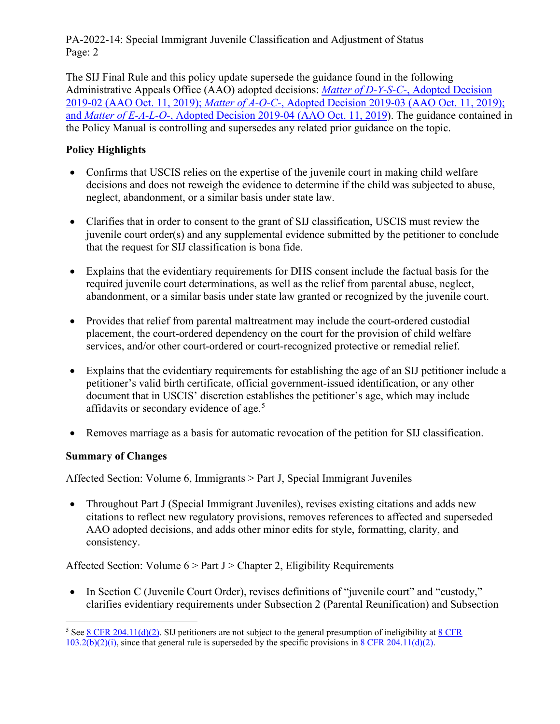PA-2022-14: Special Immigrant Juvenile Classification and Adjustment of Status Page: 2

 the Policy Manual is controlling and supersedes any related prior guidance on the topic. The SIJ Final Rule and this policy update supersede the guidance found in the following Administrative Appeals Office (AAO) adopted decisions: *Matter of D-Y-S-C-*[, Adopted Decision](https://www.uscis.gov/about-us/organization/directorates-and-program-offices/administrative-appeals-office-aao/adopted-aao-decisions)  2019-02 (AAO Oct. 11, 2019); *Matter of A-O-C-*[, Adopted Decision 2019-03 \(AAO Oct. 11, 2019\);](https://www.uscis.gov/about-us/organization/directorates-and-program-offices/administrative-appeals-office-aao/adopted-aao-decisions)  and *Matter of E-A-L-O-*[, Adopted Decision 2019-04 \(AAO Oct. 11, 2019\)](https://www.uscis.gov/about-us/organization/directorates-and-program-offices/administrative-appeals-office-aao/adopted-aao-decisions). The guidance contained in

## **Policy Highlights**

- decisions and does not reweigh the evidence to determine if the child was subjected to abuse, • Confirms that USCIS relies on the expertise of the juvenile court in making child welfare neglect, abandonment, or a similar basis under state law.
- Clarifies that in order to consent to the grant of SIJ classification, USCIS must review the juvenile court order(s) and any supplemental evidence submitted by the petitioner to conclude that the request for SIJ classification is bona fide.
- Explains that the evidentiary requirements for DHS consent include the factual basis for the required juvenile court determinations, as well as the relief from parental abuse, neglect, abandonment, or a similar basis under state law granted or recognized by the juvenile court.
- Provides that relief from parental maltreatment may include the court-ordered custodial placement, the court-ordered dependency on the court for the provision of child welfare services, and/or other court-ordered or court-recognized protective or remedial relief.
- • Explains that the evidentiary requirements for establishing the age of an SIJ petitioner include a petitioner's valid birth certificate, official government-issued identification, or any other affidavits or secondary evidence of age.<sup>[5](#page-1-0)</sup> document that in USCIS' discretion establishes the petitioner's age, which may include
- Removes marriage as a basis for automatic revocation of the petition for SIJ classification.

#### **Summary of Changes**

Affected Section: Volume 6, Immigrants > Part J, Special Immigrant Juveniles

• Throughout Part J (Special Immigrant Juveniles), revises existing citations and adds new citations to reflect new regulatory provisions, removes references to affected and superseded AAO adopted decisions, and adds other minor edits for style, formatting, clarity, and consistency.

Affected Section: Volume  $6$  > Part J > Chapter 2, Eligibility Requirements

 • In Section C (Juvenile Court Order), revises definitions of "juvenile court" and "custody," clarifies evidentiary requirements under Subsection 2 (Parental Reunification) and Subsection

<span id="page-1-0"></span><sup>&</sup>lt;sup>5</sup> See <u>8 CFR 204.11(d)(2)</u>. SIJ petitioners are not subject to the general presumption of ineligibility at  $8$  CFR  $103.2(b)(2)(i)$ , since that general rule is superseded by the specific provisions in  $8 \text{ CFR } 204.11(d)(2)$ .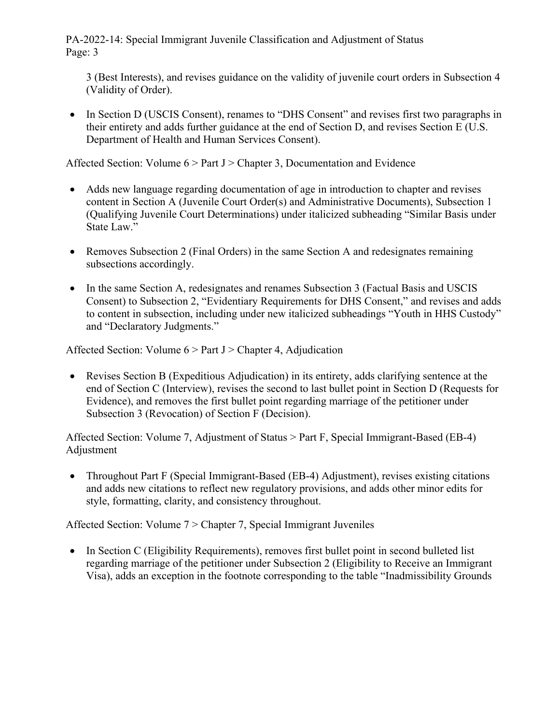PA-2022-14: Special Immigrant Juvenile Classification and Adjustment of Status Page: 3

3 (Best Interests), and revises guidance on the validity of juvenile court orders in Subsection 4 (Validity of Order).

 their entirety and adds further guidance at the end of Section D, and revises Section E (U.S. Department of Health and Human Services Consent). • In Section D (USCIS Consent), renames to "DHS Consent" and revises first two paragraphs in

Affected Section: Volume 6 > Part J > Chapter 3, Documentation and Evidence

- Adds new language regarding documentation of age in introduction to chapter and revises content in Section A (Juvenile Court Order(s) and Administrative Documents), Subsection 1 (Qualifying Juvenile Court Determinations) under italicized subheading "Similar Basis under State Law."
- Removes Subsection 2 (Final Orders) in the same Section A and redesignates remaining subsections accordingly.
- In the same Section A, redesignates and renames Subsection 3 (Factual Basis and USCIS Consent) to Subsection 2, "Evidentiary Requirements for DHS Consent," and revises and adds to content in subsection, including under new italicized subheadings "Youth in HHS Custody" and "Declaratory Judgments."

Affected Section: Volume 6 > Part J > Chapter 4, Adjudication

• Revises Section B (Expeditious Adjudication) in its entirety, adds clarifying sentence at the end of Section C (Interview), revises the second to last bullet point in Section D (Requests for Evidence), and removes the first bullet point regarding marriage of the petitioner under Subsection 3 (Revocation) of Section F (Decision).

 Adjustment Affected Section: Volume 7, Adjustment of Status > Part F, Special Immigrant-Based (EB-4)

• Throughout Part F (Special Immigrant-Based (EB-4) Adjustment), revises existing citations and adds new citations to reflect new regulatory provisions, and adds other minor edits for style, formatting, clarity, and consistency throughout.

Affected Section: Volume 7 > Chapter 7, Special Immigrant Juveniles

 regarding marriage of the petitioner under Subsection 2 (Eligibility to Receive an Immigrant Visa), adds an exception in the footnote corresponding to the table "Inadmissibility Grounds • In Section C (Eligibility Requirements), removes first bullet point in second bulleted list